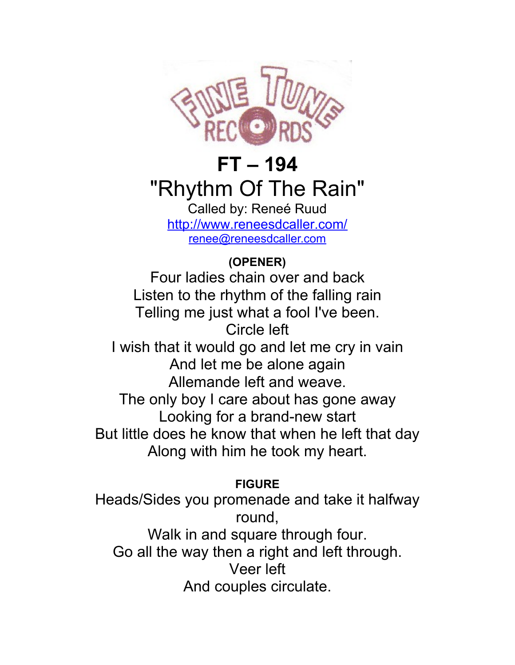

# **FT – 194** "Rhythm Of The Rain" Called by: Reneé Ruud

<http://www.reneesdcaller.com/> [renee@reneesdcaller.com](mailto:renee@reneesdcaller.com)

### **(OPENER)**

Four ladies chain over and back Listen to the rhythm of the falling rain Telling me just what a fool I've been. Circle left I wish that it would go and let me cry in vain And let me be alone again Allemande left and weave. The only boy I care about has gone away Looking for a brand-new start But little does he know that when he left that day Along with him he took my heart.

### **FIGURE**

Heads/Sides you promenade and take it halfway round, Walk in and square through four. Go all the way then a right and left through. Veer left And couples circulate.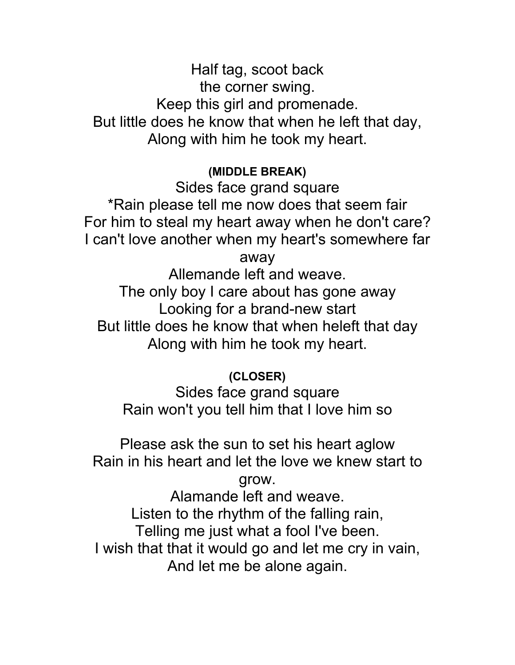Half tag, scoot back the corner swing. Keep this girl and promenade. But little does he know that when he left that day, Along with him he took my heart.

#### **(MIDDLE BREAK)**

Sides face grand square \*Rain please tell me now does that seem fair For him to steal my heart away when he don't care? I can't love another when my heart's somewhere far away Allemande left and weave.

The only boy I care about has gone away Looking for a brand-new start But little does he know that when heleft that day Along with him he took my heart.

### **(CLOSER)**

Sides face grand square Rain won't you tell him that I love him so

Please ask the sun to set his heart aglow Rain in his heart and let the love we knew start to grow. Alamande left and weave. Listen to the rhythm of the falling rain, Telling me just what a fool I've been. I wish that that it would go and let me cry in vain, And let me be alone again.